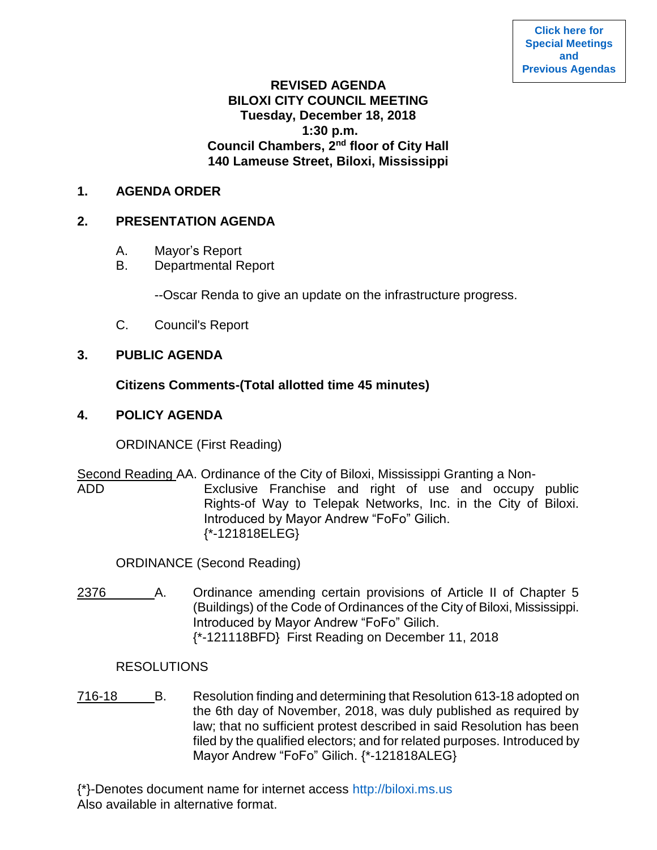# **REVISED AGENDA BILOXI CITY COUNCIL MEETING Tuesday, December 18, 2018 1:30 p.m. Council Chambers, 2nd floor of City Hall 140 Lameuse Street, Biloxi, Mississippi**

# **1. AGENDA ORDER**

# **2. PRESENTATION AGENDA**

- A. Mayor's Report
- B. Departmental Report

--Oscar Renda to give an update on the infrastructure progress.

C. Council's Report

# **3. PUBLIC AGENDA**

# **Citizens Comments-(Total allotted time 45 minutes)**

# **4. POLICY AGENDA**

ORDINANCE (First Reading)

```
Second Reading AA. Ordinance of the City of Biloxi, Mississippi Granting a Non-
ADD Exclusive Franchise and right of use and occupy public 
                    Rights-of Way to Telepak Networks, Inc. in the City of Biloxi. 
                    Introduced by Mayor Andrew "FoFo" Gilich.
                    {*-121818ELEG}
```
ORDINANCE (Second Reading)

2376 A. Ordinance amending certain provisions of Article II of Chapter 5 (Buildings) of the Code of Ordinances of the City of Biloxi, Mississippi. Introduced by Mayor Andrew "FoFo" Gilich. {\*-121118BFD} First Reading on December 11, 2018

## **RESOLUTIONS**

716-18 B. Resolution finding and determining that Resolution 613-18 adopted on the 6th day of November, 2018, was duly published as required by law; that no sufficient protest described in said Resolution has been filed by the qualified electors; and for related purposes. Introduced by Mayor Andrew "FoFo" Gilich. {\*-121818ALEG}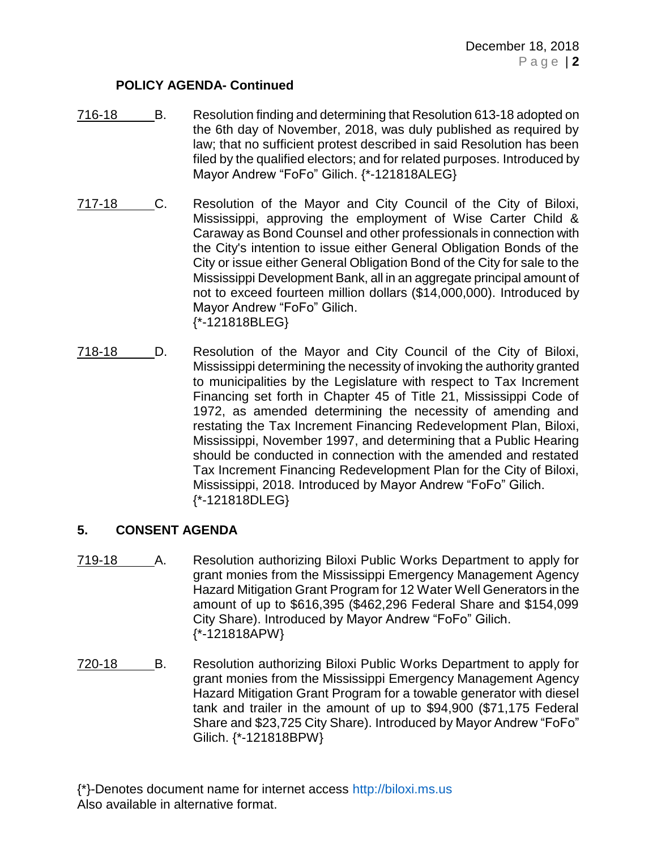## **POLICY AGENDA- Continued**

- 716-18 B. Resolution finding and determining that Resolution 613-18 adopted on the 6th day of November, 2018, was duly published as required by law; that no sufficient protest described in said Resolution has been filed by the qualified electors; and for related purposes. Introduced by Mayor Andrew "FoFo" Gilich. {\*-121818ALEG}
- 717-18 C. Resolution of the Mayor and City Council of the City of Biloxi, Mississippi, approving the employment of Wise Carter Child & Caraway as Bond Counsel and other professionals in connection with the City's intention to issue either General Obligation Bonds of the City or issue either General Obligation Bond of the City for sale to the Mississippi Development Bank, all in an aggregate principal amount of not to exceed fourteen million dollars (\$14,000,000). Introduced by Mayor Andrew "FoFo" Gilich. {\*-121818BLEG}
- 718-18 \_\_\_\_ D. Resolution of the Mayor and City Council of the City of Biloxi, Mississippi determining the necessity of invoking the authority granted to municipalities by the Legislature with respect to Tax Increment Financing set forth in Chapter 45 of Title 21, Mississippi Code of 1972, as amended determining the necessity of amending and restating the Tax Increment Financing Redevelopment Plan, Biloxi, Mississippi, November 1997, and determining that a Public Hearing should be conducted in connection with the amended and restated Tax Increment Financing Redevelopment Plan for the City of Biloxi, Mississippi, 2018. Introduced by Mayor Andrew "FoFo" Gilich. {\*-121818DLEG}

# **5. CONSENT AGENDA**

- 719-18 A. Resolution authorizing Biloxi Public Works Department to apply for grant monies from the Mississippi Emergency Management Agency Hazard Mitigation Grant Program for 12 Water Well Generators in the amount of up to \$616,395 (\$462,296 Federal Share and \$154,099 City Share). Introduced by Mayor Andrew "FoFo" Gilich. {\*-121818APW}
	- 720-18 B. Resolution authorizing Biloxi Public Works Department to apply for grant monies from the Mississippi Emergency Management Agency Hazard Mitigation Grant Program for a towable generator with diesel tank and trailer in the amount of up to \$94,900 (\$71,175 Federal Share and \$23,725 City Share). Introduced by Mayor Andrew "FoFo" Gilich. {\*-121818BPW}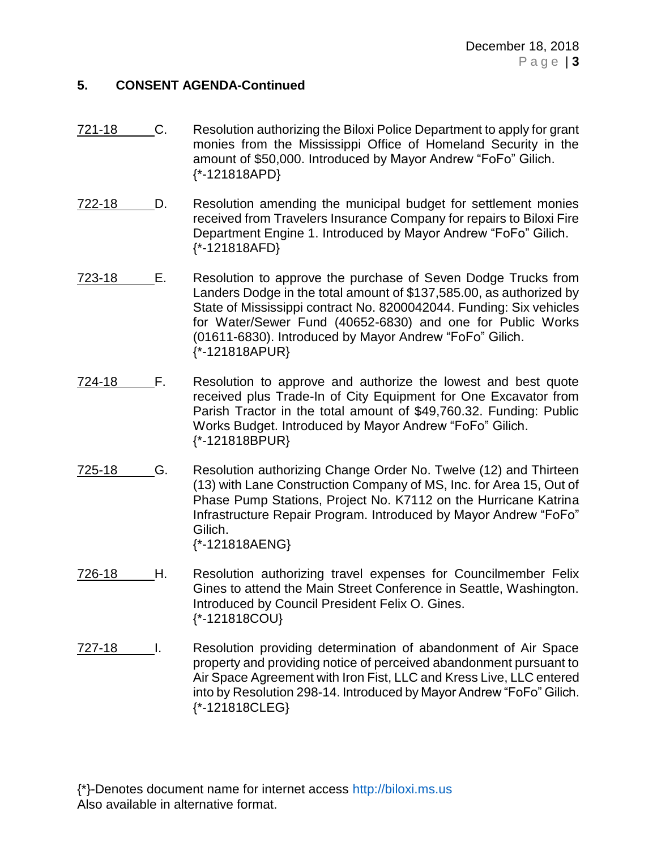## **5. CONSENT AGENDA-Continued**

- 721-18 C. Resolution authorizing the Biloxi Police Department to apply for grant monies from the Mississippi Office of Homeland Security in the amount of \$50,000. Introduced by Mayor Andrew "FoFo" Gilich. {\*-121818APD}
- 722-18 D. Resolution amending the municipal budget for settlement monies received from Travelers Insurance Company for repairs to Biloxi Fire Department Engine 1. Introduced by Mayor Andrew "FoFo" Gilich. {\*-121818AFD}
- 723-18 E. Resolution to approve the purchase of Seven Dodge Trucks from Landers Dodge in the total amount of \$137,585.00, as authorized by State of Mississippi contract No. 8200042044. Funding: Six vehicles for Water/Sewer Fund (40652-6830) and one for Public Works (01611-6830). Introduced by Mayor Andrew "FoFo" Gilich. {\*-121818APUR}
- 724-18 F. Resolution to approve and authorize the lowest and best quote received plus Trade-In of City Equipment for One Excavator from Parish Tractor in the total amount of \$49,760.32. Funding: Public Works Budget. Introduced by Mayor Andrew "FoFo" Gilich. {\*-121818BPUR}
- 725-18 G. Resolution authorizing Change Order No. Twelve (12) and Thirteen (13) with Lane Construction Company of MS, Inc. for Area 15, Out of Phase Pump Stations, Project No. K7112 on the Hurricane Katrina Infrastructure Repair Program. Introduced by Mayor Andrew "FoFo" Gilich. {\*-121818AENG}
- 726-18 H. Resolution authorizing travel expenses for Councilmember Felix Gines to attend the Main Street Conference in Seattle, Washington. Introduced by Council President Felix O. Gines. {\*-121818COU}
- 727-18 I. Resolution providing determination of abandonment of Air Space property and providing notice of perceived abandonment pursuant to Air Space Agreement with Iron Fist, LLC and Kress Live, LLC entered into by Resolution 298-14. Introduced by Mayor Andrew "FoFo" Gilich. {\*-121818CLEG}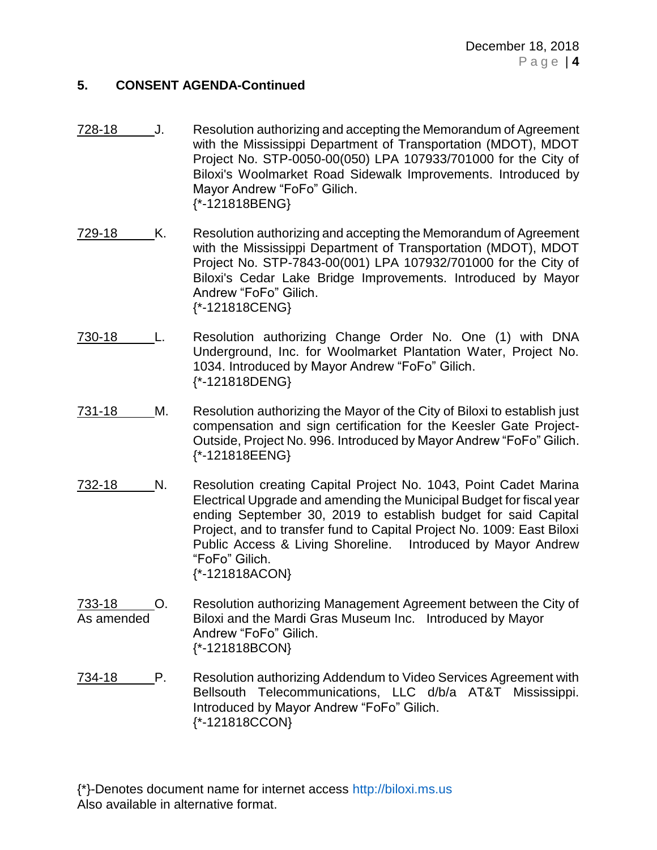## **5. CONSENT AGENDA-Continued**

- 728-18 J. Resolution authorizing and accepting the Memorandum of Agreement with the Mississippi Department of Transportation (MDOT), MDOT Project No. STP-0050-00(050) LPA 107933/701000 for the City of Biloxi's Woolmarket Road Sidewalk Improvements. Introduced by Mayor Andrew "FoFo" Gilich. {\*-121818BENG}
- 729-18 K. Resolution authorizing and accepting the Memorandum of Agreement with the Mississippi Department of Transportation (MDOT), MDOT Project No. STP-7843-00(001) LPA 107932/701000 for the City of Biloxi's Cedar Lake Bridge Improvements. Introduced by Mayor Andrew "FoFo" Gilich. {\*-121818CENG}
- 730-18 L. Resolution authorizing Change Order No. One (1) with DNA Underground, Inc. for Woolmarket Plantation Water, Project No. 1034. Introduced by Mayor Andrew "FoFo" Gilich. {\*-121818DENG}
- 731-18 M. Resolution authorizing the Mayor of the City of Biloxi to establish just compensation and sign certification for the Keesler Gate Project-Outside, Project No. 996. Introduced by Mayor Andrew "FoFo" Gilich. {\*-121818EENG}
- 732-18 N. Resolution creating Capital Project No. 1043, Point Cadet Marina Electrical Upgrade and amending the Municipal Budget for fiscal year ending September 30, 2019 to establish budget for said Capital Project, and to transfer fund to Capital Project No. 1009: East Biloxi Public Access & Living Shoreline. Introduced by Mayor Andrew "FoFo" Gilich. {\*-121818ACON}
- 733-18 O. Resolution authorizing Management Agreement between the City of As amended Biloxi and the Mardi Gras Museum Inc. Introduced by Mayor Andrew "FoFo" Gilich. {\*-121818BCON}
- 734-18 P. Resolution authorizing Addendum to Video Services Agreement with Bellsouth Telecommunications, LLC d/b/a AT&T Mississippi. Introduced by Mayor Andrew "FoFo" Gilich. {\*-121818CCON}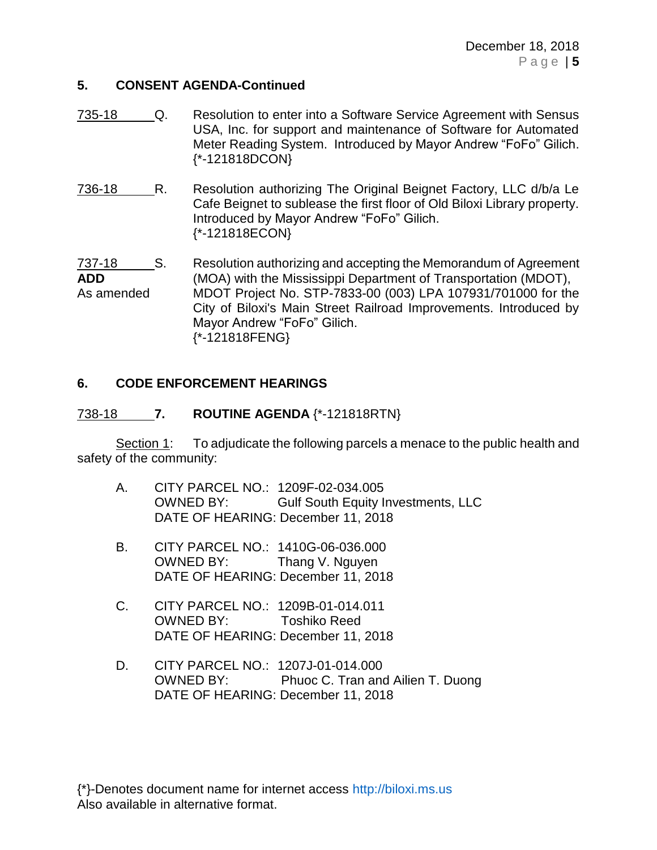## **5. CONSENT AGENDA-Continued**

- 735-18 Q. Resolution to enter into a Software Service Agreement with Sensus USA, Inc. for support and maintenance of Software for Automated Meter Reading System. Introduced by Mayor Andrew "FoFo" Gilich. {\*-121818DCON}
- 736-18 R. Resolution authorizing The Original Beignet Factory, LLC d/b/a Le Cafe Beignet to sublease the first floor of Old Biloxi Library property. Introduced by Mayor Andrew "FoFo" Gilich. {\*-121818ECON}

737-18 S. Resolution authorizing and accepting the Memorandum of Agreement **ADD** (MOA) with the Mississippi Department of Transportation (MDOT), As amended MDOT Project No. STP-7833-00 (003) LPA 107931/701000 for the City of Biloxi's Main Street Railroad Improvements. Introduced by Mayor Andrew "FoFo" Gilich. {\*-121818FENG}

## **6. CODE ENFORCEMENT HEARINGS**

#### 738-18 **7. ROUTINE AGENDA** {\*-121818RTN}

Section 1: To adjudicate the following parcels a menace to the public health and safety of the community:

- A. CITY PARCEL NO.: 1209F-02-034.005 OWNED BY: Gulf South Equity Investments, LLC DATE OF HEARING: December 11, 2018
- B. CITY PARCEL NO.: 1410G-06-036.000 OWNED BY: Thang V. Nguyen DATE OF HEARING: December 11, 2018
- C. CITY PARCEL NO.: 1209B-01-014.011 OWNED BY: Toshiko Reed DATE OF HEARING: December 11, 2018
- D. CITY PARCEL NO.: 1207J-01-014.000 OWNED BY: Phuoc C. Tran and Ailien T. Duong DATE OF HEARING: December 11, 2018